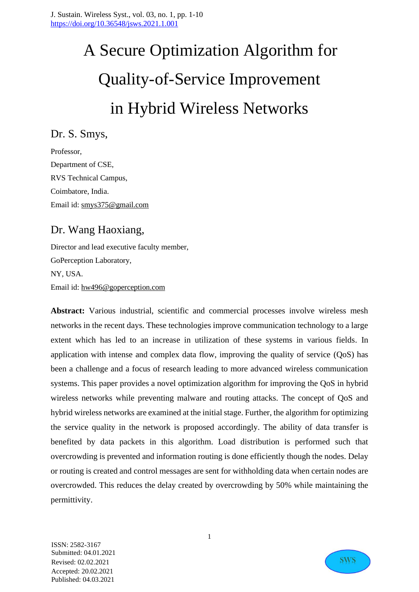# A Secure Optimization Algorithm for Quality-of-Service Improvement in Hybrid Wireless Networks

Dr. S. Smys,

Professor, Department of CSE, RVS Technical Campus, Coimbatore, India. Email id: [smys375@gmail.com](mailto:smys375@gmail.com)

# Dr. Wang Haoxiang,

Director and lead executive faculty member, GoPerception Laboratory, NY, USA. Email id: [hw496@goperception.com](mailto:hw496@goperception.com)

**Abstract:** Various industrial, scientific and commercial processes involve wireless mesh networks in the recent days. These technologies improve communication technology to a large extent which has led to an increase in utilization of these systems in various fields. In application with intense and complex data flow, improving the quality of service (QoS) has been a challenge and a focus of research leading to more advanced wireless communication systems. This paper provides a novel optimization algorithm for improving the QoS in hybrid wireless networks while preventing malware and routing attacks. The concept of QoS and hybrid wireless networks are examined at the initial stage. Further, the algorithm for optimizing the service quality in the network is proposed accordingly. The ability of data transfer is benefited by data packets in this algorithm. Load distribution is performed such that overcrowding is prevented and information routing is done efficiently though the nodes. Delay or routing is created and control messages are sent for withholding data when certain nodes are overcrowded. This reduces the delay created by overcrowding by 50% while maintaining the permittivity.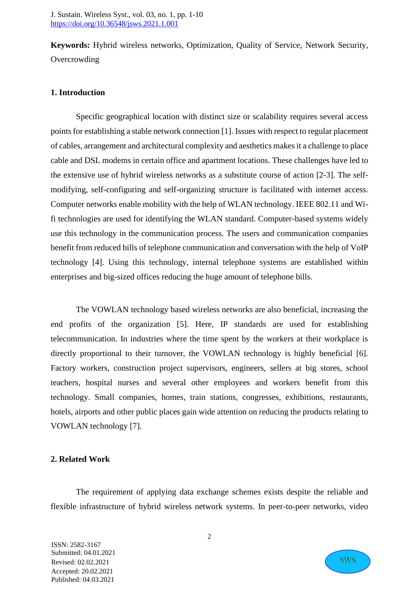**Keywords:** Hybrid wireless networks, Optimization, Quality of Service, Network Security, **Overcrowding** 

### **1. Introduction**

Specific geographical location with distinct size or scalability requires several access points for establishing a stable network connection [1]. Issues with respect to regular placement of cables, arrangement and architectural complexity and aesthetics makes it a challenge to place cable and DSL modems in certain office and apartment locations. These challenges have led to the extensive use of hybrid wireless networks as a substitute course of action [2-3]. The selfmodifying, self-configuring and self-organizing structure is facilitated with internet access. Computer networks enable mobility with the help of WLAN technology. IEEE 802.11 and Wifi technologies are used for identifying the WLAN standard. Computer-based systems widely use this technology in the communication process. The users and communication companies benefit from reduced bills of telephone communication and conversation with the help of VoIP technology [4]. Using this technology, internal telephone systems are established within enterprises and big-sized offices reducing the huge amount of telephone bills.

The VOWLAN technology based wireless networks are also beneficial, increasing the end profits of the organization [5]. Here, IP standards are used for establishing telecommunication. In industries where the time spent by the workers at their workplace is directly proportional to their turnover, the VOWLAN technology is highly beneficial [6]. Factory workers, construction project supervisors, engineers, sellers at big stores, school teachers, hospital nurses and several other employees and workers benefit from this technology. Small companies, homes, train stations, congresses, exhibitions, restaurants, hotels, airports and other public places gain wide attention on reducing the products relating to VOWLAN technology [7].

### **2. Related Work**

The requirement of applying data exchange schemes exists despite the reliable and flexible infrastructure of hybrid wireless network systems. In peer-to-peer networks, video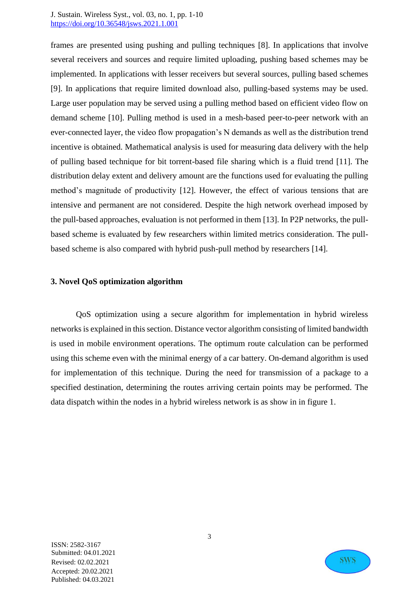frames are presented using pushing and pulling techniques [8]. In applications that involve several receivers and sources and require limited uploading, pushing based schemes may be implemented. In applications with lesser receivers but several sources, pulling based schemes [9]. In applications that require limited download also, pulling-based systems may be used. Large user population may be served using a pulling method based on efficient video flow on demand scheme [10]. Pulling method is used in a mesh-based peer-to-peer network with an ever-connected layer, the video flow propagation's N demands as well as the distribution trend incentive is obtained. Mathematical analysis is used for measuring data delivery with the help of pulling based technique for bit torrent-based file sharing which is a fluid trend [11]. The distribution delay extent and delivery amount are the functions used for evaluating the pulling method's magnitude of productivity [12]. However, the effect of various tensions that are intensive and permanent are not considered. Despite the high network overhead imposed by the pull-based approaches, evaluation is not performed in them [13]. In P2P networks, the pullbased scheme is evaluated by few researchers within limited metrics consideration. The pullbased scheme is also compared with hybrid push-pull method by researchers [14].

#### **3. Novel QoS optimization algorithm**

QoS optimization using a secure algorithm for implementation in hybrid wireless networks is explained in this section. Distance vector algorithm consisting of limited bandwidth is used in mobile environment operations. The optimum route calculation can be performed using this scheme even with the minimal energy of a car battery. On-demand algorithm is used for implementation of this technique. During the need for transmission of a package to a specified destination, determining the routes arriving certain points may be performed. The data dispatch within the nodes in a hybrid wireless network is as show in in figure 1.

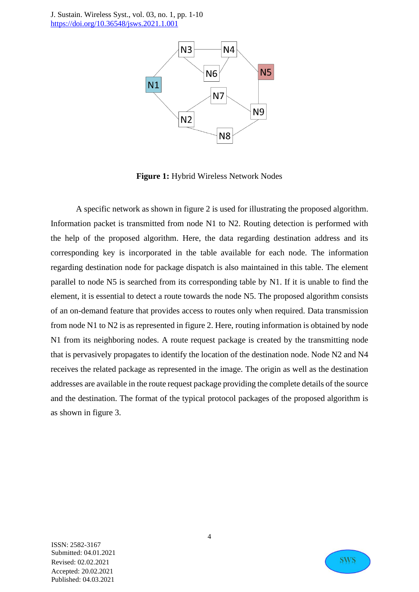

**Figure 1:** Hybrid Wireless Network Nodes

A specific network as shown in figure 2 is used for illustrating the proposed algorithm. Information packet is transmitted from node N1 to N2. Routing detection is performed with the help of the proposed algorithm. Here, the data regarding destination address and its corresponding key is incorporated in the table available for each node. The information regarding destination node for package dispatch is also maintained in this table. The element parallel to node N5 is searched from its corresponding table by N1. If it is unable to find the element, it is essential to detect a route towards the node N5. The proposed algorithm consists of an on-demand feature that provides access to routes only when required. Data transmission from node N1 to N2 is as represented in figure 2. Here, routing information is obtained by node N1 from its neighboring nodes. A route request package is created by the transmitting node that is pervasively propagates to identify the location of the destination node. Node N2 and N4 receives the related package as represented in the image. The origin as well as the destination addresses are available in the route request package providing the complete details of the source and the destination. The format of the typical protocol packages of the proposed algorithm is as shown in figure 3.

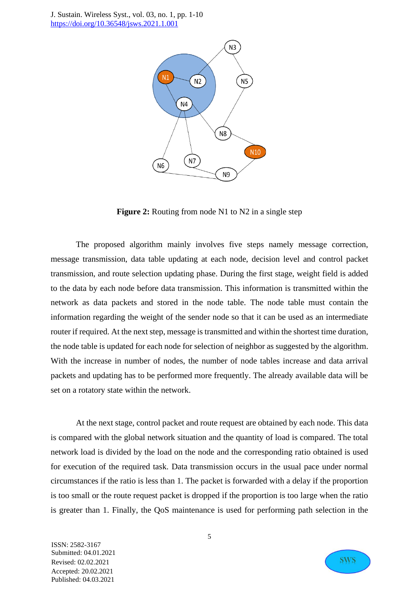

**Figure 2:** Routing from node N1 to N2 in a single step

The proposed algorithm mainly involves five steps namely message correction, message transmission, data table updating at each node, decision level and control packet transmission, and route selection updating phase. During the first stage, weight field is added to the data by each node before data transmission. This information is transmitted within the network as data packets and stored in the node table. The node table must contain the information regarding the weight of the sender node so that it can be used as an intermediate router if required. At the next step, message is transmitted and within the shortest time duration, the node table is updated for each node for selection of neighbor as suggested by the algorithm. With the increase in number of nodes, the number of node tables increase and data arrival packets and updating has to be performed more frequently. The already available data will be set on a rotatory state within the network.

At the next stage, control packet and route request are obtained by each node. This data is compared with the global network situation and the quantity of load is compared. The total network load is divided by the load on the node and the corresponding ratio obtained is used for execution of the required task. Data transmission occurs in the usual pace under normal circumstances if the ratio is less than 1. The packet is forwarded with a delay if the proportion is too small or the route request packet is dropped if the proportion is too large when the ratio is greater than 1. Finally, the QoS maintenance is used for performing path selection in the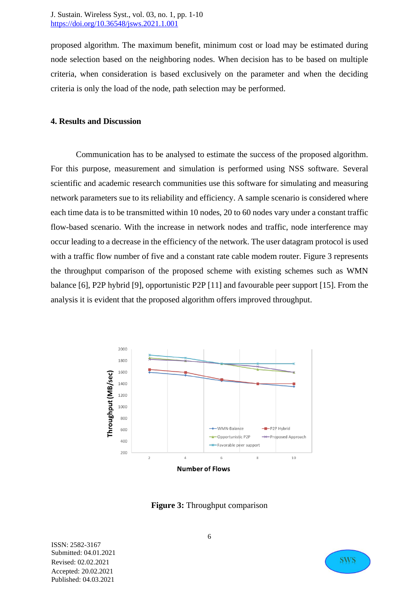proposed algorithm. The maximum benefit, minimum cost or load may be estimated during node selection based on the neighboring nodes. When decision has to be based on multiple criteria, when consideration is based exclusively on the parameter and when the deciding criteria is only the load of the node, path selection may be performed.

### **4. Results and Discussion**

Communication has to be analysed to estimate the success of the proposed algorithm. For this purpose, measurement and simulation is performed using NSS software. Several scientific and academic research communities use this software for simulating and measuring network parameters sue to its reliability and efficiency. A sample scenario is considered where each time data is to be transmitted within 10 nodes, 20 to 60 nodes vary under a constant traffic flow-based scenario. With the increase in network nodes and traffic, node interference may occur leading to a decrease in the efficiency of the network. The user datagram protocol is used with a traffic flow number of five and a constant rate cable modem router. Figure 3 represents the throughput comparison of the proposed scheme with existing schemes such as WMN balance [6], P2P hybrid [9], opportunistic P2P [11] and favourable peer support [15]. From the analysis it is evident that the proposed algorithm offers improved throughput.



**Figure 3:** Throughput comparison

ISSN: 2582-3167 Submitted: 04.01.2021 Revised: 02.02.2021 Accepted: 20.02.2021 Published: 04.03.2021

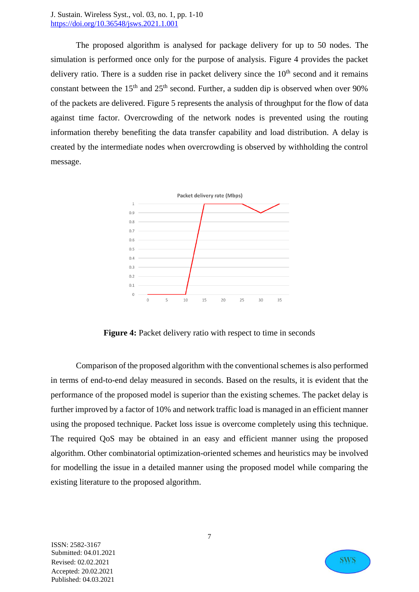The proposed algorithm is analysed for package delivery for up to 50 nodes. The simulation is performed once only for the purpose of analysis. Figure 4 provides the packet delivery ratio. There is a sudden rise in packet delivery since the  $10<sup>th</sup>$  second and it remains constant between the  $15<sup>th</sup>$  and  $25<sup>th</sup>$  second. Further, a sudden dip is observed when over 90% of the packets are delivered. Figure 5 represents the analysis of throughput for the flow of data against time factor. Overcrowding of the network nodes is prevented using the routing information thereby benefiting the data transfer capability and load distribution. A delay is created by the intermediate nodes when overcrowding is observed by withholding the control message.



**Figure 4:** Packet delivery ratio with respect to time in seconds

Comparison of the proposed algorithm with the conventional schemes is also performed in terms of end-to-end delay measured in seconds. Based on the results, it is evident that the performance of the proposed model is superior than the existing schemes. The packet delay is further improved by a factor of 10% and network traffic load is managed in an efficient manner using the proposed technique. Packet loss issue is overcome completely using this technique. The required QoS may be obtained in an easy and efficient manner using the proposed algorithm. Other combinatorial optimization-oriented schemes and heuristics may be involved for modelling the issue in a detailed manner using the proposed model while comparing the existing literature to the proposed algorithm.

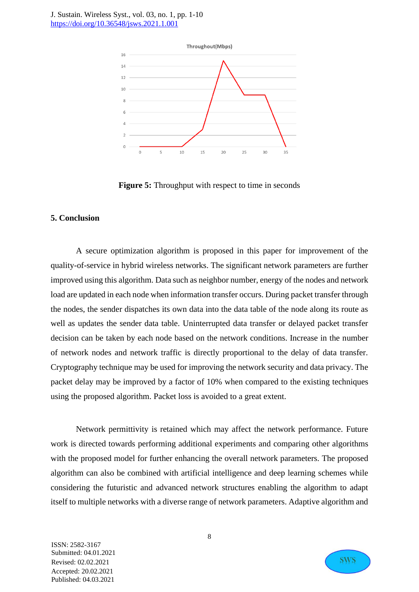

**Figure 5:** Throughput with respect to time in seconds

#### **5. Conclusion**

A secure optimization algorithm is proposed in this paper for improvement of the quality-of-service in hybrid wireless networks. The significant network parameters are further improved using this algorithm. Data such as neighbor number, energy of the nodes and network load are updated in each node when information transfer occurs. During packet transfer through the nodes, the sender dispatches its own data into the data table of the node along its route as well as updates the sender data table. Uninterrupted data transfer or delayed packet transfer decision can be taken by each node based on the network conditions. Increase in the number of network nodes and network traffic is directly proportional to the delay of data transfer. Cryptography technique may be used for improving the network security and data privacy. The packet delay may be improved by a factor of 10% when compared to the existing techniques using the proposed algorithm. Packet loss is avoided to a great extent.

Network permittivity is retained which may affect the network performance. Future work is directed towards performing additional experiments and comparing other algorithms with the proposed model for further enhancing the overall network parameters. The proposed algorithm can also be combined with artificial intelligence and deep learning schemes while considering the futuristic and advanced network structures enabling the algorithm to adapt itself to multiple networks with a diverse range of network parameters. Adaptive algorithm and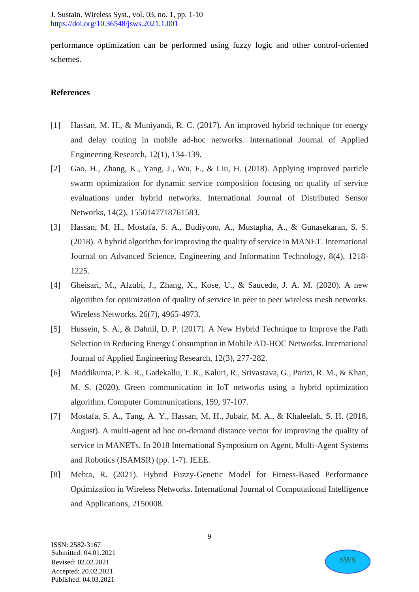performance optimization can be performed using fuzzy logic and other control-oriented schemes.

## **References**

- [1] Hassan, M. H., & Muniyandi, R. C. (2017). An improved hybrid technique for energy and delay routing in mobile ad-hoc networks. International Journal of Applied Engineering Research, 12(1), 134-139.
- [2] Gao, H., Zhang, K., Yang, J., Wu, F., & Liu, H. (2018). Applying improved particle swarm optimization for dynamic service composition focusing on quality of service evaluations under hybrid networks. International Journal of Distributed Sensor Networks, 14(2), 1550147718761583.
- [3] Hassan, M. H., Mostafa, S. A., Budiyono, A., Mustapha, A., & Gunasekaran, S. S. (2018). A hybrid algorithm for improving the quality of service in MANET. International Journal on Advanced Science, Engineering and Information Technology, 8(4), 1218- 1225.
- [4] Gheisari, M., Alzubi, J., Zhang, X., Kose, U., & Saucedo, J. A. M. (2020). A new algorithm for optimization of quality of service in peer to peer wireless mesh networks. Wireless Networks, 26(7), 4965-4973.
- [5] Hussein, S. A., & Dahnil, D. P. (2017). A New Hybrid Technique to Improve the Path Selection in Reducing Energy Consumption in Mobile AD-HOC Networks. International Journal of Applied Engineering Research, 12(3), 277-282.
- [6] Maddikunta, P. K. R., Gadekallu, T. R., Kaluri, R., Srivastava, G., Parizi, R. M., & Khan, M. S. (2020). Green communication in IoT networks using a hybrid optimization algorithm. Computer Communications, 159, 97-107.
- [7] Mostafa, S. A., Tang, A. Y., Hassan, M. H., Jubair, M. A., & Khaleefah, S. H. (2018, August). A multi-agent ad hoc on-demand distance vector for improving the quality of service in MANETs. In 2018 International Symposium on Agent, Multi-Agent Systems and Robotics (ISAMSR) (pp. 1-7). IEEE.
- [8] Mehta, R. (2021). Hybrid Fuzzy-Genetic Model for Fitness-Based Performance Optimization in Wireless Networks. International Journal of Computational Intelligence and Applications, 2150008.